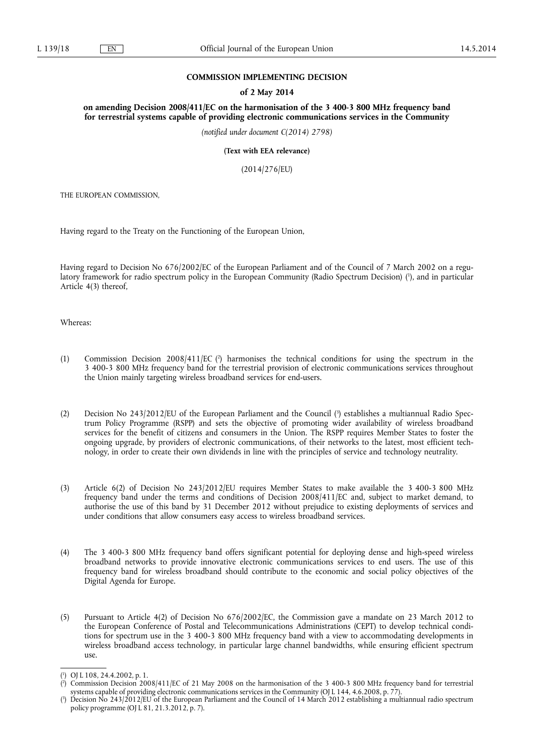### **COMMISSION IMPLEMENTING DECISION**

### **of 2 May 2014**

**on amending Decision 2008/411/EC on the harmonisation of the 3 400-3 800 MHz frequency band for terrestrial systems capable of providing electronic communications services in the Community** 

*(notified under document C(2014) 2798)* 

**(Text with EEA relevance)** 

(2014/276/EU)

THE EUROPEAN COMMISSION,

Having regard to the Treaty on the Functioning of the European Union,

Having regard to Decision No 676/2002/EC of the European Parliament and of the Council of 7 March 2002 on a regulatory framework for radio spectrum policy in the European Community (Radio Spectrum Decision) ( 1 ), and in particular Article 4(3) thereof,

Whereas:

- (1) Commission Decision 2008/411/EC (<sup>2</sup>) harmonises the technical conditions for using the spectrum in the 3 400-3 800 MHz frequency band for the terrestrial provision of electronic communications services throughout the Union mainly targeting wireless broadband services for end-users.
- (2) Decision No 243/2012/EU of the European Parliament and the Council (3) establishes a multiannual Radio Spectrum Policy Programme (RSPP) and sets the objective of promoting wider availability of wireless broadband services for the benefit of citizens and consumers in the Union. The RSPP requires Member States to foster the ongoing upgrade, by providers of electronic communications, of their networks to the latest, most efficient technology, in order to create their own dividends in line with the principles of service and technology neutrality.
- (3) Article 6(2) of Decision No 243/2012/EU requires Member States to make available the 3 400-3 800 MHz frequency band under the terms and conditions of Decision 2008/411/EC and, subject to market demand, to authorise the use of this band by 31 December 2012 without prejudice to existing deployments of services and under conditions that allow consumers easy access to wireless broadband services.
- (4) The 3 400-3 800 MHz frequency band offers significant potential for deploying dense and high-speed wireless broadband networks to provide innovative electronic communications services to end users. The use of this frequency band for wireless broadband should contribute to the economic and social policy objectives of the Digital Agenda for Europe.
- (5) Pursuant to Article 4(2) of Decision No 676/2002/EC, the Commission gave a mandate on 23 March 2012 to the European Conference of Postal and Telecommunications Administrations (CEPT) to develop technical conditions for spectrum use in the 3 400-3 800 MHz frequency band with a view to accommodating developments in wireless broadband access technology, in particular large channel bandwidths, while ensuring efficient spectrum use.

<sup>(</sup> 1 ) OJ L 108, 24.4.2002, p. 1.

<sup>(</sup> 2 ) Commission Decision 2008/411/EC of 21 May 2008 on the harmonisation of the 3 400-3 800 MHz frequency band for terrestrial systems capable of providing electronic communications services in the Community (OJ L 144, 4.6.2008, p. 77).

<sup>(</sup> 3 ) Decision No 243/2012/EU of the European Parliament and the Council of 14 March 2012 establishing a multiannual radio spectrum policy programme (OJ L 81, 21.3.2012, p. 7).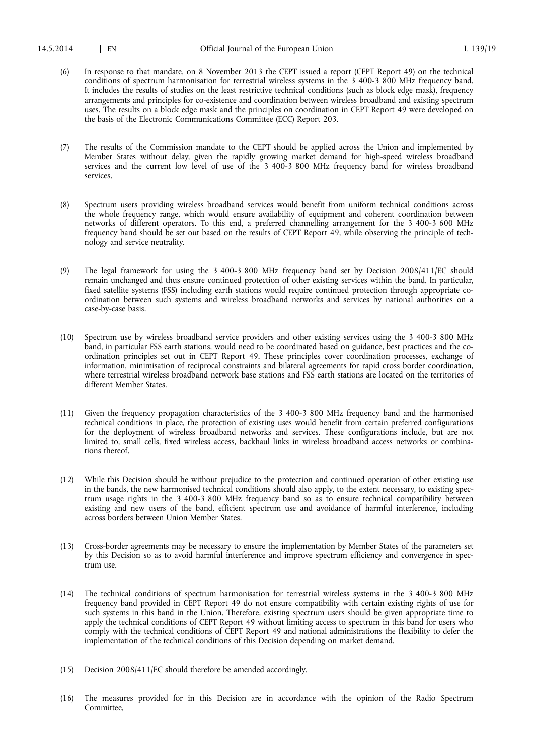- (6) In response to that mandate, on 8 November 2013 the CEPT issued a report (CEPT Report 49) on the technical conditions of spectrum harmonisation for terrestrial wireless systems in the 3 400-3 800 MHz frequency band. It includes the results of studies on the least restrictive technical conditions (such as block edge mask), frequency arrangements and principles for co-existence and coordination between wireless broadband and existing spectrum uses. The results on a block edge mask and the principles on coordination in CEPT Report 49 were developed on the basis of the Electronic Communications Committee (ECC) Report 203.
- (7) The results of the Commission mandate to the CEPT should be applied across the Union and implemented by Member States without delay, given the rapidly growing market demand for high-speed wireless broadband services and the current low level of use of the 3 400-3 800 MHz frequency band for wireless broadband services.
- (8) Spectrum users providing wireless broadband services would benefit from uniform technical conditions across the whole frequency range, which would ensure availability of equipment and coherent coordination between networks of different operators. To this end, a preferred channelling arrangement for the 3 400-3 600 MHz frequency band should be set out based on the results of CEPT Report 49, while observing the principle of technology and service neutrality.
- (9) The legal framework for using the 3 400-3 800 MHz frequency band set by Decision 2008/411/EC should remain unchanged and thus ensure continued protection of other existing services within the band. In particular, fixed satellite systems (FSS) including earth stations would require continued protection through appropriate coordination between such systems and wireless broadband networks and services by national authorities on a case-by-case basis.
- (10) Spectrum use by wireless broadband service providers and other existing services using the 3 400-3 800 MHz band, in particular FSS earth stations, would need to be coordinated based on guidance, best practices and the coordination principles set out in CEPT Report 49. These principles cover coordination processes, exchange of information, minimisation of reciprocal constraints and bilateral agreements for rapid cross border coordination, where terrestrial wireless broadband network base stations and FSS earth stations are located on the territories of different Member States.
- (11) Given the frequency propagation characteristics of the 3 400-3 800 MHz frequency band and the harmonised technical conditions in place, the protection of existing uses would benefit from certain preferred configurations for the deployment of wireless broadband networks and services. These configurations include, but are not limited to, small cells, fixed wireless access, backhaul links in wireless broadband access networks or combinations thereof.
- (12) While this Decision should be without prejudice to the protection and continued operation of other existing use in the bands, the new harmonised technical conditions should also apply, to the extent necessary, to existing spectrum usage rights in the 3 400-3 800 MHz frequency band so as to ensure technical compatibility between existing and new users of the band, efficient spectrum use and avoidance of harmful interference, including across borders between Union Member States.
- (13) Cross-border agreements may be necessary to ensure the implementation by Member States of the parameters set by this Decision so as to avoid harmful interference and improve spectrum efficiency and convergence in spectrum use.
- (14) The technical conditions of spectrum harmonisation for terrestrial wireless systems in the 3 400-3 800 MHz frequency band provided in CEPT Report 49 do not ensure compatibility with certain existing rights of use for such systems in this band in the Union. Therefore, existing spectrum users should be given appropriate time to apply the technical conditions of CEPT Report 49 without limiting access to spectrum in this band for users who comply with the technical conditions of CEPT Report 49 and national administrations the flexibility to defer the implementation of the technical conditions of this Decision depending on market demand.
- (15) Decision 2008/411/EC should therefore be amended accordingly.
- (16) The measures provided for in this Decision are in accordance with the opinion of the Radio Spectrum Committee,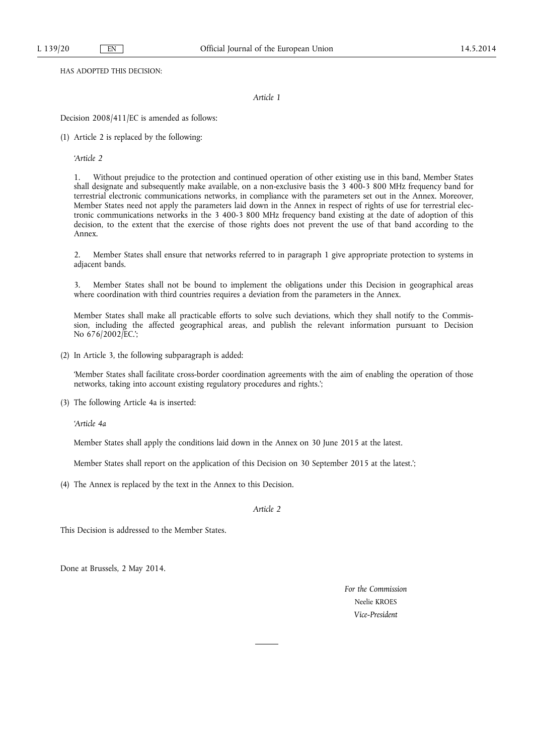HAS ADOPTED THIS DECISION:

*Article 1* 

Decision 2008/411/EC is amended as follows:

(1) Article 2 is replaced by the following:

*'Article 2* 

1. Without prejudice to the protection and continued operation of other existing use in this band, Member States shall designate and subsequently make available, on a non-exclusive basis the 3 400-3 800 MHz frequency band for terrestrial electronic communications networks, in compliance with the parameters set out in the Annex. Moreover, Member States need not apply the parameters laid down in the Annex in respect of rights of use for terrestrial electronic communications networks in the 3 400-3 800 MHz frequency band existing at the date of adoption of this decision, to the extent that the exercise of those rights does not prevent the use of that band according to the Annex.

2. Member States shall ensure that networks referred to in paragraph 1 give appropriate protection to systems in adjacent bands.

3. Member States shall not be bound to implement the obligations under this Decision in geographical areas where coordination with third countries requires a deviation from the parameters in the Annex.

Member States shall make all practicable efforts to solve such deviations, which they shall notify to the Commission, including the affected geographical areas, and publish the relevant information pursuant to Decision No 676/2002/EC.';

(2) In Article 3, the following subparagraph is added:

'Member States shall facilitate cross-border coordination agreements with the aim of enabling the operation of those networks, taking into account existing regulatory procedures and rights.';

(3) The following Article 4a is inserted:

*'Article 4a* 

Member States shall apply the conditions laid down in the Annex on 30 June 2015 at the latest.

Member States shall report on the application of this Decision on 30 September 2015 at the latest.';

(4) The Annex is replaced by the text in the Annex to this Decision.

*Article 2* 

This Decision is addressed to the Member States.

Done at Brussels, 2 May 2014.

*For the Commission*  Neelie KROES *Vice-President*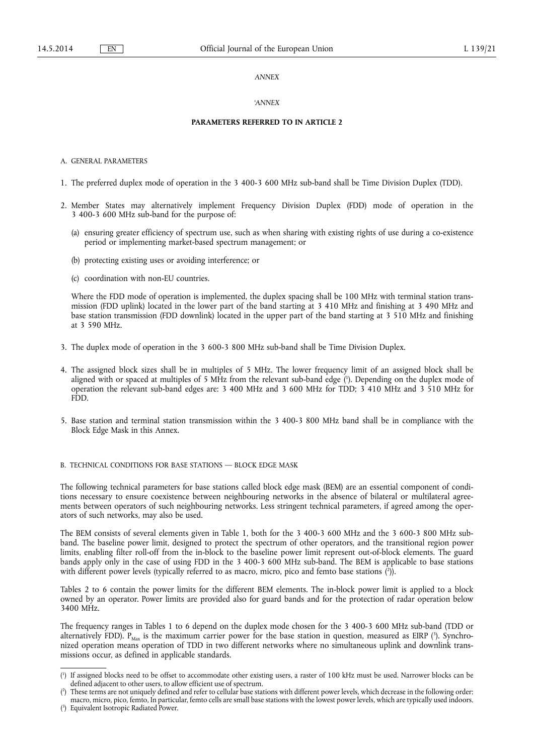### *ANNEX*

### *'ANNEX*

### **PARAMETERS REFERRED TO IN ARTICLE 2**

A. GENERAL PARAMETERS

- 1. The preferred duplex mode of operation in the 3 400-3 600 MHz sub-band shall be Time Division Duplex (TDD).
- 2. Member States may alternatively implement Frequency Division Duplex (FDD) mode of operation in the 3 400-3 600 MHz sub-band for the purpose of:
	- (a) ensuring greater efficiency of spectrum use, such as when sharing with existing rights of use during a co-existence period or implementing market-based spectrum management; or
	- (b) protecting existing uses or avoiding interference; or
	- (c) coordination with non-EU countries.

Where the FDD mode of operation is implemented, the duplex spacing shall be 100 MHz with terminal station transmission (FDD uplink) located in the lower part of the band starting at 3 410 MHz and finishing at 3 490 MHz and base station transmission (FDD downlink) located in the upper part of the band starting at 3 510 MHz and finishing at 3 590 MHz.

- 3. The duplex mode of operation in the 3 600-3 800 MHz sub-band shall be Time Division Duplex.
- 4. The assigned block sizes shall be in multiples of 5 MHz. The lower frequency limit of an assigned block shall be aligned with or spaced at multiples of 5 MHz from the relevant sub-band edge ( 1 ). Depending on the duplex mode of operation the relevant sub-band edges are: 3 400 MHz and 3 600 MHz for TDD; 3 410 MHz and 3 510 MHz for FDD.
- 5. Base station and terminal station transmission within the 3 400-3 800 MHz band shall be in compliance with the Block Edge Mask in this Annex.

# B. TECHNICAL CONDITIONS FOR BASE STATIONS — BLOCK EDGE MASK

The following technical parameters for base stations called block edge mask (BEM) are an essential component of conditions necessary to ensure coexistence between neighbouring networks in the absence of bilateral or multilateral agreements between operators of such neighbouring networks. Less stringent technical parameters, if agreed among the operators of such networks, may also be used.

The BEM consists of several elements given in Table 1, both for the 3 400-3 600 MHz and the 3 600-3 800 MHz subband. The baseline power limit, designed to protect the spectrum of other operators, and the transitional region power limits, enabling filter roll-off from the in-block to the baseline power limit represent out-of-block elements. The guard bands apply only in the case of using FDD in the 3 400-3 600 MHz sub-band. The BEM is applicable to base stations with different power levels (typically referred to as macro, micro, pico and femto base stations (?)).

Tables 2 to 6 contain the power limits for the different BEM elements. The in-block power limit is applied to a block owned by an operator. Power limits are provided also for guard bands and for the protection of radar operation below 3400 MHz.

The frequency ranges in Tables 1 to 6 depend on the duplex mode chosen for the 3 400-3 600 MHz sub-band (TDD or alternatively FDD).  $P_{\text{Max}}$  is the maximum carrier power for the base station in question, measured as EIRP ( $^3$ ). Synchronized operation means operation of TDD in two different networks where no simultaneous uplink and downlink transmissions occur, as defined in applicable standards.

<sup>(</sup> 1 ) If assigned blocks need to be offset to accommodate other existing users, a raster of 100 kHz must be used. Narrower blocks can be defined adjacent to other users, to allow efficient use of spectrum.

<sup>(</sup> 2 ) These terms are not uniquely defined and refer to cellular base stations with different power levels, which decrease in the following order: macro, micro, pico, femto, In particular, femto cells are small base stations with the lowest power levels, which are typically used indoors.

<sup>(</sup> 3 ) Equivalent Isotropic Radiated Power.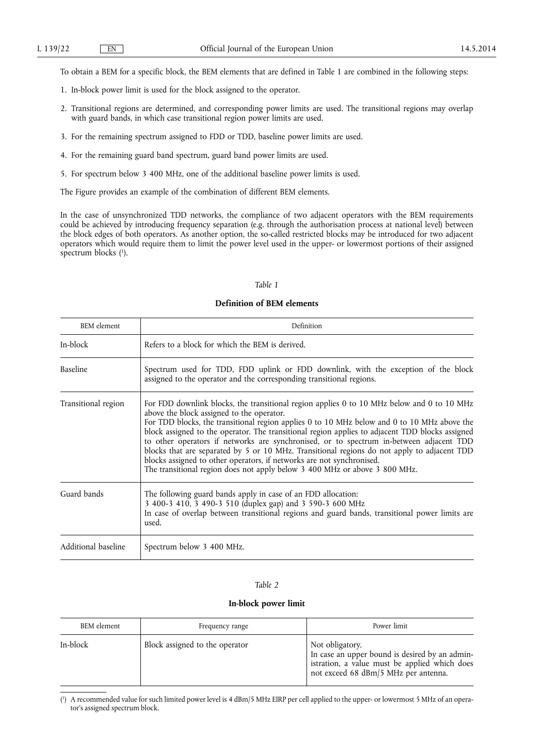To obtain a BEM for a specific block, the BEM elements that are defined in Table 1 are combined in the following steps:

- 1. In-block power limit is used for the block assigned to the operator.
- 2. Transitional regions are determined, and corresponding power limits are used. The transitional regions may overlap with guard bands, in which case transitional region power limits are used.
- 3. For the remaining spectrum assigned to FDD or TDD, baseline power limits are used.
- 4. For the remaining guard band spectrum, guard band power limits are used.
- 5. For spectrum below 3 400 MHz, one of the additional baseline power limits is used.

The Figure provides an example of the combination of different BEM elements.

In the case of unsynchronized TDD networks, the compliance of two adjacent operators with the BEM requirements could be achieved by introducing frequency separation (e.g. through the authorisation process at national level) between the block edges of both operators. As another option, the so-called restricted blocks may be introduced for two adjacent operators which would require them to limit the power level used in the upper- or lowermost portions of their assigned spectrum blocks ( 1 ).

## *Table 1*

# **Definition of BEM elements**

| <b>BEM</b> element  | Definition                                                                                                                                                                                                                                                                                                                                                                                                                                                                                                                                                                                                                                                                                 |  |  |  |  |
|---------------------|--------------------------------------------------------------------------------------------------------------------------------------------------------------------------------------------------------------------------------------------------------------------------------------------------------------------------------------------------------------------------------------------------------------------------------------------------------------------------------------------------------------------------------------------------------------------------------------------------------------------------------------------------------------------------------------------|--|--|--|--|
| In-block            | Refers to a block for which the BEM is derived.                                                                                                                                                                                                                                                                                                                                                                                                                                                                                                                                                                                                                                            |  |  |  |  |
| Baseline            | Spectrum used for TDD, FDD uplink or FDD downlink, with the exception of the block<br>assigned to the operator and the corresponding transitional regions.                                                                                                                                                                                                                                                                                                                                                                                                                                                                                                                                 |  |  |  |  |
| Transitional region | For FDD downlink blocks, the transitional region applies 0 to 10 MHz below and 0 to 10 MHz<br>above the block assigned to the operator.<br>For TDD blocks, the transitional region applies 0 to 10 MHz below and 0 to 10 MHz above the<br>block assigned to the operator. The transitional region applies to adjacent TDD blocks assigned<br>to other operators if networks are synchronised, or to spectrum in-between adjacent TDD<br>blocks that are separated by 5 or 10 MHz. Transitional regions do not apply to adjacent TDD<br>blocks assigned to other operators, if networks are not synchronised.<br>The transitional region does not apply below 3 400 MHz or above 3 800 MHz. |  |  |  |  |
| Guard bands         | The following guard bands apply in case of an FDD allocation:<br>3 400-3 410, 3 490-3 510 (duplex gap) and 3 590-3 600 MHz<br>In case of overlap between transitional regions and guard bands, transitional power limits are<br>used.                                                                                                                                                                                                                                                                                                                                                                                                                                                      |  |  |  |  |
| Additional baseline | Spectrum below 3 400 MHz.                                                                                                                                                                                                                                                                                                                                                                                                                                                                                                                                                                                                                                                                  |  |  |  |  |

## *Table 2*

# **In-block power limit**

| <b>BEM</b> element | Frequency range                | Power limit                                                                                                                                                |
|--------------------|--------------------------------|------------------------------------------------------------------------------------------------------------------------------------------------------------|
| In-block           | Block assigned to the operator | Not obligatory.<br>In case an upper bound is desired by an admin-<br>istration, a value must be applied which does<br>not exceed 68 dBm/5 MHz per antenna. |

( 1 ) A recommended value for such limited power level is 4 dBm/5 MHz EIRP per cell applied to the upper- or lowermost 5 MHz of an operator's assigned spectrum block.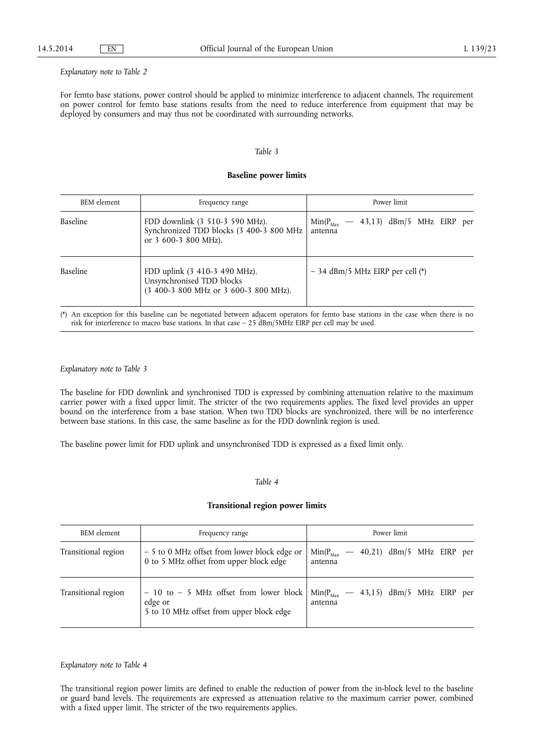#### *Explanatory note to Table 2*

For femto base stations, power control should be applied to minimize interference to adjacent channels. The requirement on power control for femto base stations results from the need to reduce interference from equipment that may be deployed by consumers and may thus not be coordinated with surrounding networks.

### *Table 3*

### **Baseline power limits**

| <b>BEM</b> element | Frequency range                                                                                     | Power limit                                                |  |  |  |  |  |  |
|--------------------|-----------------------------------------------------------------------------------------------------|------------------------------------------------------------|--|--|--|--|--|--|
| Baseline           | FDD downlink (3 510-3 590 MHz).<br>Synchronized TDD blocks (3 400-3 800 MHz<br>or 3 600-3 800 MHz). | $-$ 43,13) dBm/5 MHz EIRP per<br>$Min(P_{Max})$<br>antenna |  |  |  |  |  |  |
| Baseline           | FDD uplink (3 410-3 490 MHz).<br>Unsynchronised TDD blocks<br>(3 400-3 800 MHz or 3 600-3 800 MHz). | $-$ 34 dBm/5 MHz EIRP per cell (*)                         |  |  |  |  |  |  |

(\*) An exception for this baseline can be negotiated between adjacent operators for femto base stations in the case when there is no risk for interference to macro base stations. In that case – 25 dBm/5MHz EIRP per cell may be used.

#### *Explanatory note to Table 3*

The baseline for FDD downlink and synchronised TDD is expressed by combining attenuation relative to the maximum carrier power with a fixed upper limit. The stricter of the two requirements applies. The fixed level provides an upper bound on the interference from a base station. When two TDD blocks are synchronized, there will be no interference between base stations. In this case, the same baseline as for the FDD downlink region is used.

The baseline power limit for FDD uplink and unsynchronised TDD is expressed as a fixed limit only.

#### *Table 4*

# **Transitional region power limits**

| <b>BEM</b> element  | Frequency range                                                                                  | Power limit                                                        |  |  |  |  |  |  |  |
|---------------------|--------------------------------------------------------------------------------------------------|--------------------------------------------------------------------|--|--|--|--|--|--|--|
| Transitional region | - 5 to 0 MHz offset from lower block edge or<br>0 to 5 MHz offset from upper block edge          | 40,21) dBm/5 MHz EIRP per<br>$Min(P_{Max})$<br>antenna             |  |  |  |  |  |  |  |
| Transitional region | - 10 to - 5 MHz offset from lower block  <br>edge or<br>5 to 10 MHz offset from upper block edge | $\text{Min}(P_{\text{Max}}$ – 43,15) dBm/5 MHz EIRP per<br>antenna |  |  |  |  |  |  |  |

*Explanatory note to Table 4* 

The transitional region power limits are defined to enable the reduction of power from the in-block level to the baseline or guard band levels. The requirements are expressed as attenuation relative to the maximum carrier power, combined with a fixed upper limit. The stricter of the two requirements applies.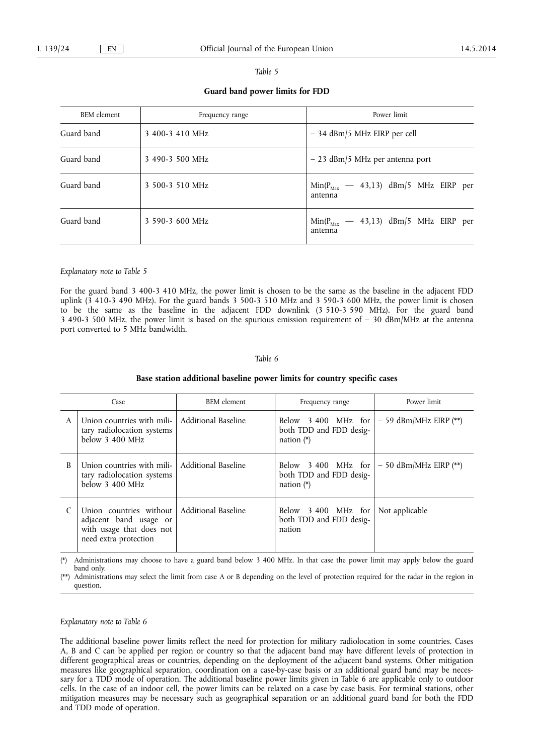|--|--|

**Guard band power limits for FDD** 

| <b>BEM</b> element | Frequency range | Power limit                                          |  |  |  |  |  |  |
|--------------------|-----------------|------------------------------------------------------|--|--|--|--|--|--|
| Guard band         | 3 400-3 410 MHz | $-$ 34 dBm/5 MHz EIRP per cell                       |  |  |  |  |  |  |
| Guard band         | 3 490-3 500 MHz | $-23$ dBm/5 MHz per antenna port                     |  |  |  |  |  |  |
| Guard band         | 3 500-3 510 MHz | $Min(P_{Max}$ – 43,13) dBm/5 MHz EIRP per<br>antenna |  |  |  |  |  |  |
| Guard band         | 3 590-3 600 MHz | $Min(P_{Max}$ – 43,13) dBm/5 MHz EIRP per<br>antenna |  |  |  |  |  |  |

#### *Explanatory note to Table 5*

For the guard band 3 400-3 410 MHz, the power limit is chosen to be the same as the baseline in the adjacent FDD uplink  $(\overline{3}$  410-3 490 MHz). For the guard bands 3 500-3 510 MHz and 3 590-3 600 MHz, the power limit is chosen to be the same as the baseline in the adjacent FDD downlink (3 510-3 590 MHz). For the guard band 3 490-3 500 MHz, the power limit is based on the spurious emission requirement of  $-$  30 dBm/MHz at the antenna port converted to 5 MHz bandwidth.

#### *Table 6*

#### **Base station additional baseline power limits for country specific cases**

| Case |                                                                                                        | <b>BEM</b> element  | Frequency range                                                   | Power limit             |
|------|--------------------------------------------------------------------------------------------------------|---------------------|-------------------------------------------------------------------|-------------------------|
| A    | Union countries with mili-<br>tary radiolocation systems<br>below 3 400 MHz                            | Additional Baseline | Below 3 400 MHz for<br>both TDD and FDD desig-<br>nation $(*)$    | $-59$ dBm/MHz EIRP (**) |
| B    | Union countries with mili-<br>tary radiolocation systems<br>below 3 400 MHz                            | Additional Baseline | Below $3\,400$ MHz for<br>both TDD and FDD desig-<br>nation $(*)$ | $-50$ dBm/MHz EIRP (**) |
|      | Union countries without<br>adjacent band usage or<br>with usage that does not<br>need extra protection | Additional Baseline | Below 3 400 MHz for<br>both TDD and FDD desig-<br>nation          | Not applicable          |

(\*) Administrations may choose to have a guard band below 3 400 MHz. In that case the power limit may apply below the guard band only.

(\*\*) Administrations may select the limit from case A or B depending on the level of protection required for the radar in the region in question.

# *Explanatory note to Table 6*

The additional baseline power limits reflect the need for protection for military radiolocation in some countries. Cases A, B and C can be applied per region or country so that the adjacent band may have different levels of protection in different geographical areas or countries, depending on the deployment of the adjacent band systems. Other mitigation measures like geographical separation, coordination on a case-by-case basis or an additional guard band may be necessary for a TDD mode of operation. The additional baseline power limits given in Table 6 are applicable only to outdoor cells. In the case of an indoor cell, the power limits can be relaxed on a case by case basis. For terminal stations, other mitigation measures may be necessary such as geographical separation or an additional guard band for both the FDD and TDD mode of operation.